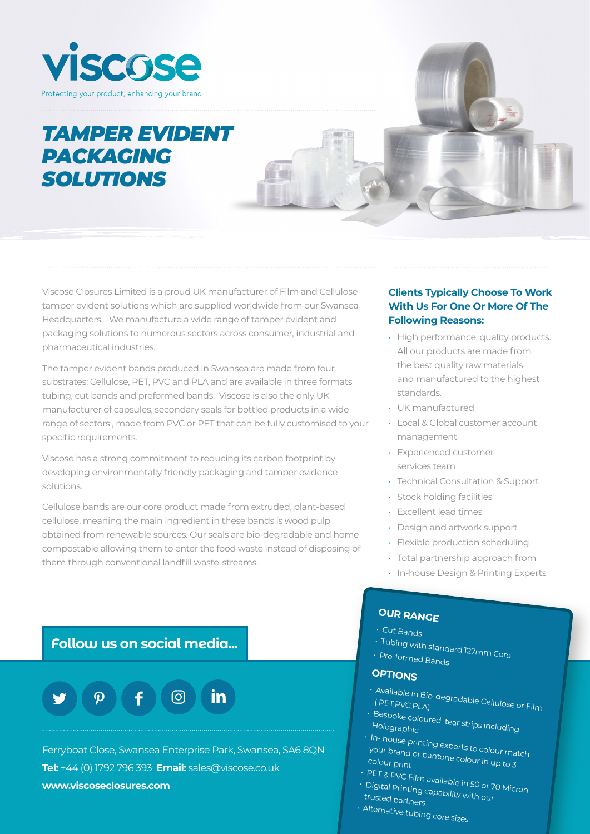

# *TAMPER EVIDENT* **PACKAGING** *SOLUTIONS*

Viscose Closures Limited is a proud UK manufacturer of Film and Cellulose tamper evident solutions which are supplied worldwide from our Swansea Headquarters. We manufacture a wide range of tamper evident and packaging solutions to numerous sectors across consumer, industrial and pharmaceutical industries.

The tamper evident bands produced in Swansea are made from four substrates: Cellulose, PET, PVC and PLA and are available in three formats tubing, cut bands and preformed bands. Viscose is also the only UK manufacturer of capsules, secondary seals for bottled products in a wide range of sectors , made from PVC or PET that can be fully customised to your specific requirements.

Viscose has a strong commitment to reducing its carbon footprint by developing environmentally friendly packaging and tamper evidence solutions.

Cellulose bands are our core product made from extruded, plant-based cellulose, meaning the main ingredient in these bands is wood pulp obtained from renewable sources. Our seals are bio-degradable and home compostable allowing them to enter the food waste instead of disposing of them through conventional landfill waste-streams.

#### **Clients Typically Choose To Work With Us For One Or More Of The Following Reasons:**

- High performance, quality products. All our products are made from the best quality raw materials and manufactured to the highest standards.
- UK manufactured
- Local & Global customer account management
- Experienced customer services team
- Technical Consultation & Support
- Stock holding facilities
- Excellent lead times
- Design and artwork support
- Flexible production scheduling
- Total partnership approach from
- In-house Design & Printing Experts

### **Follow us on social media...**



Ferryboat Close, Swansea Enterprise Park, Swansea, SA6 8QN **Tel:** +44 (0) 1792 796 393 **Email:** sales@viscose.co.uk **www.viscoseclosures.com**

# **OUR RANGE**

- Cut Bands
- 
- Tubing with standard 127mm Core • Pre-formed Bands

### **OPTIONS**

- Available in Bio-degradable Cellulose or Film ( PET,PVC,PLA)
- Bespoke coloured tear strips including Holographic
- In- house printing experts to colour match your brand or pantone colour in up to 3 colour print
- 
- PET & PVC Film available in 50 or 70 Micron • Digital Printing capability with our
- trusted partners
- Alternative tubing core sizes